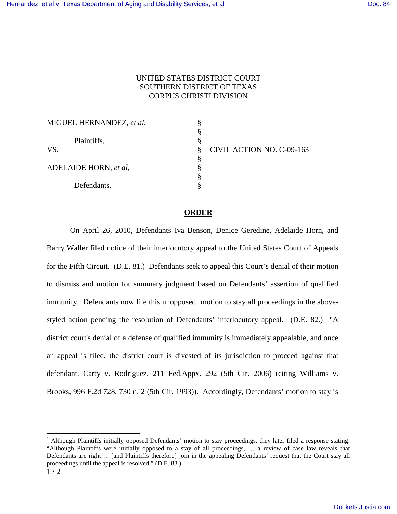## UNITED STATES DISTRICT COURT SOUTHERN DISTRICT OF TEXAS CORPUS CHRISTI DIVISION

| MIGUEL HERNANDEZ, et al, |                           |
|--------------------------|---------------------------|
|                          |                           |
| Plaintiffs,              |                           |
| VS.                      | CIVIL ACTION NO. C-09-163 |
|                          |                           |
| ADELAIDE HORN, et al,    |                           |
|                          |                           |
| Defendants.              |                           |

## **ORDER**

On April 26, 2010, Defendants Iva Benson, Denice Geredine, Adelaide Horn, and Barry Waller filed notice of their interlocutory appeal to the United States Court of Appeals for the Fifth Circuit. (D.E. 81.) Defendants seek to appeal this Court's denial of their motion to dismiss and motion for summary judgment based on Defendants' assertion of qualified immunity. Defendants now file this unopposed<sup>1</sup> motion to stay all proceedings in the abovestyled action pending the resolution of Defendants' interlocutory appeal. (D.E. 82.) "A district court's denial of a defense of qualified immunity is immediately appealable, and once an appeal is filed, the district court is divested of its jurisdiction to proceed against that defendant. Carty v. Rodriguez, 211 Fed.Appx. 292 (5th Cir. 2006) (citing Williams v. Brooks, 996 F.2d 728, 730 n. 2 (5th Cir. 1993)). Accordingly, Defendants' motion to stay is

<sup>1&</sup>lt;br><sup>1</sup> Although Plaintiffs initially opposed Defendants' motion to stay proceedings, they later filed a response stating: "Although Plaintiffs were initially opposed to a stay of all proceedings, … a review of case law reveals that Defendants are right…. [and Plaintiffs therefore] join in the appealing Defendants' request that the Court stay all proceedings until the appeal is resolved." (D.E. 83.)